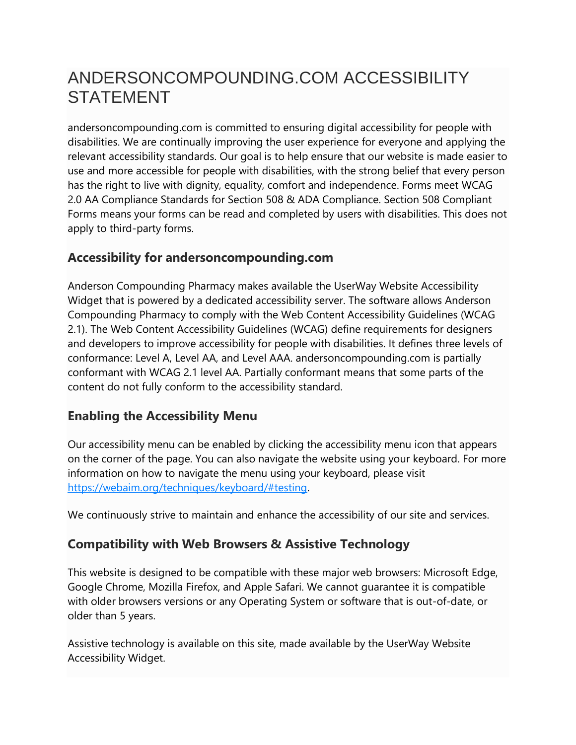# ANDERSONCOMPOUNDING.COM ACCESSIBILITY STATEMENT

andersoncompounding.com is committed to ensuring digital accessibility for people with disabilities. We are continually improving the user experience for everyone and applying the relevant accessibility standards. Our goal is to help ensure that our website is made easier to use and more accessible for people with disabilities, with the strong belief that every person has the right to live with dignity, equality, comfort and independence. Forms meet WCAG 2.0 AA Compliance Standards for Section 508 & ADA Compliance. Section 508 Compliant Forms means your forms can be read and completed by users with disabilities. This does not apply to third-party forms.

## **Accessibility for andersoncompounding.com**

Anderson Compounding Pharmacy makes available the UserWay Website Accessibility Widget that is powered by a dedicated accessibility server. The software allows Anderson Compounding Pharmacy to comply with the Web Content Accessibility Guidelines (WCAG 2.1). The Web Content Accessibility Guidelines (WCAG) define requirements for designers and developers to improve accessibility for people with disabilities. It defines three levels of conformance: Level A, Level AA, and Level AAA. andersoncompounding.com is partially conformant with WCAG 2.1 level AA. Partially conformant means that some parts of the content do not fully conform to the accessibility standard.

# **Enabling the Accessibility Menu**

Our accessibility menu can be enabled by clicking the accessibility menu icon that appears on the corner of the page. You can also navigate the website using your keyboard. For more information on how to navigate the menu using your keyboard, please visit [https://webaim.org/techniques/keyboard/#testing.](https://webaim.org/techniques/keyboard/#testing)

We continuously strive to maintain and enhance the accessibility of our site and services.

# **Compatibility with Web Browsers & Assistive Technology**

This website is designed to be compatible with these major web browsers: Microsoft Edge, Google Chrome, Mozilla Firefox, and Apple Safari. We cannot guarantee it is compatible with older browsers versions or any Operating System or software that is out-of-date, or older than 5 years.

Assistive technology is available on this site, made available by the UserWay Website Accessibility Widget.